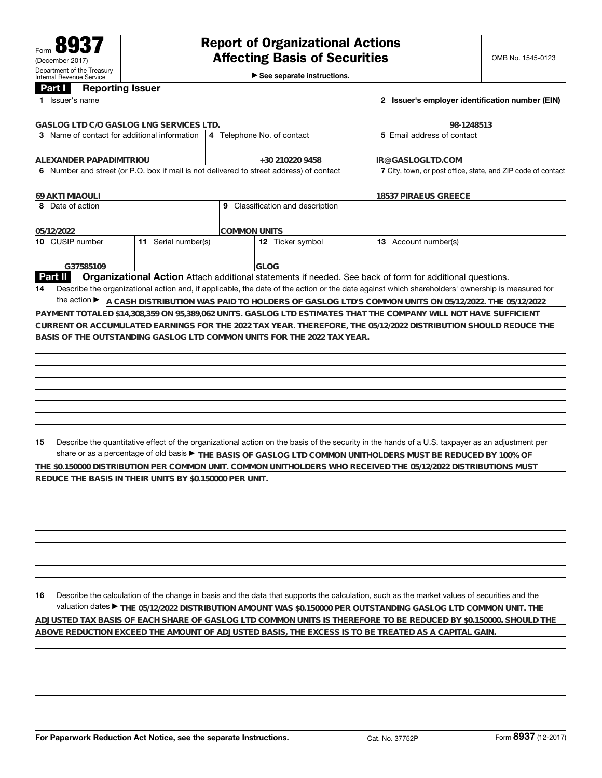►<br>► See separate instructions.

## **Part I Reporting Issuer**

| Issuer's name                                                                                            |                                                                                                                                                 |  |  |  |
|----------------------------------------------------------------------------------------------------------|-------------------------------------------------------------------------------------------------------------------------------------------------|--|--|--|
| GASLOG LTD C/O GASLOG LNG SERVICES LTD.                                                                  |                                                                                                                                                 |  |  |  |
| 4 Telephone No. of contact                                                                               | 5 Fmail address of contact                                                                                                                      |  |  |  |
| +30 210220 9458                                                                                          | IR@GASLOGLTD.COM                                                                                                                                |  |  |  |
| 6 Number and street (or P.O. box if mail is not delivered to street address) of contact                  | 7 City, town, or post office, state, and ZIP code of contact                                                                                    |  |  |  |
|                                                                                                          | 18537 PIRAEUS GREECE                                                                                                                            |  |  |  |
| Classification and description<br>9                                                                      |                                                                                                                                                 |  |  |  |
| ICOMMON UNITS                                                                                            |                                                                                                                                                 |  |  |  |
| Serial number(s)<br><b>12</b> Ticker symbol                                                              | 13 Account number(s)                                                                                                                            |  |  |  |
| <b>GLOG</b>                                                                                              |                                                                                                                                                 |  |  |  |
| Organizational Action Attach additional statements if needed. See back of form for additional questions. |                                                                                                                                                 |  |  |  |
|                                                                                                          | Describe the organizational action and, if applicable, the date of the action or the date against which shareholders' ownership is measured for |  |  |  |
|                                                                                                          | A CASH DISTRIBUTION WAS PAID TO HOLDERS OF GASLOG LTD'S COMMON UNITS ON 05/12/2022. THE 05/12/2022                                              |  |  |  |
|                                                                                                          | PAYMENT TOTALED \$14,308,359 ON 95,389,062 UNITS. GASLOG LTD ESTIMATES THAT THE COMPANY WILL NOT HAVE SUFFICIENT                                |  |  |  |
|                                                                                                          | CURRENT OR ACCUMULATED EARNINGS FOR THE 2022 TAX YEAR. THEREFORE, THE 05/12/2022 DISTRIBUTION SHOULD REDUCE THE                                 |  |  |  |
| BASIS OF THE OUTSTANDING GASLOG LTD COMMON UNITS FOR THE 2022 TAX YEAR.                                  |                                                                                                                                                 |  |  |  |
|                                                                                                          |                                                                                                                                                 |  |  |  |
|                                                                                                          |                                                                                                                                                 |  |  |  |
|                                                                                                          |                                                                                                                                                 |  |  |  |
|                                                                                                          |                                                                                                                                                 |  |  |  |

**15** Describe the quantitative effect of the organizational action on the basis of the security in the hands of a U.S. taxpayer as an adjustment per share or as a percentage of old basis  $\blacktriangleright$  THE BASIS OF GASLOG LTD COMMON UNITHOLDERS MUST BE REDUCED BY 100% OF **THE \$0.150000 DISTRIBUTION PER COMMON UNIT. COMMON UNITHOLDERS WHO RECEIVED THE 05/12/2022 DISTRIBUTIONS MUST REDUCE THE BASIS IN THEIR UNITS BY \$0.150000 PER UNIT.**

**16** Describe the calculation of the change in basis and the data that supports the calculation, such as the market values of securities and the valuation dates ▶ <u>THE 05/12/2022 DISTRIBUTION AMOUNT WAS \$0.150000 PER OUTSTANDING GASLOG LTD COMMON UNIT. THE</u> **ADJUSTED TAX BASIS OF EACH SHARE OF GASLOG LTD COMMON UNITS IS THEREFORE TO BE REDUCED BY \$0.150000. SHOULD THE ABOVE REDUCTION EXCEED THE AMOUNT OF ADJUSTED BASIS, THE EXCESS IS TO BE TREATED AS A CAPITAL GAIN.**